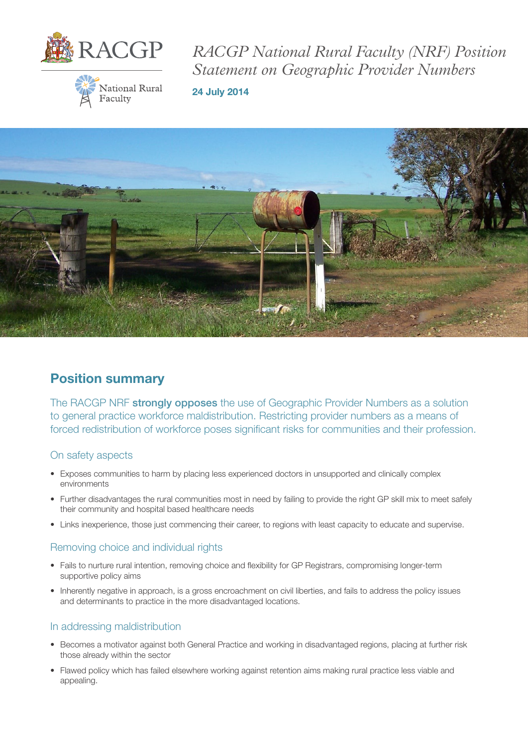

**National Rural** 

Faculty

*RACGP National Rural Faculty (NRF) Position Statement on Geographic Provider Numbers* 

24 July 2014



# Position summary

The RACGP NRF strongly opposes the use of Geographic Provider Numbers as a solution to general practice workforce maldistribution. Restricting provider numbers as a means of forced redistribution of workforce poses significant risks for communities and their profession.

#### On safety aspects

- Exposes communities to harm by placing less experienced doctors in unsupported and clinically complex environments
- Further disadvantages the rural communities most in need by failing to provide the right GP skill mix to meet safely their community and hospital based healthcare needs
- Links inexperience, those just commencing their career, to regions with least capacity to educate and supervise.

#### Removing choice and individual rights

- Fails to nurture rural intention, removing choice and flexibility for GP Registrars, compromising longer-term supportive policy aims
- Inherently negative in approach, is a gross encroachment on civil liberties, and fails to address the policy issues and determinants to practice in the more disadvantaged locations.

#### In addressing maldistribution

- Becomes a motivator against both General Practice and working in disadvantaged regions, placing at further risk those already within the sector
- Flawed policy which has failed elsewhere working against retention aims making rural practice less viable and appealing.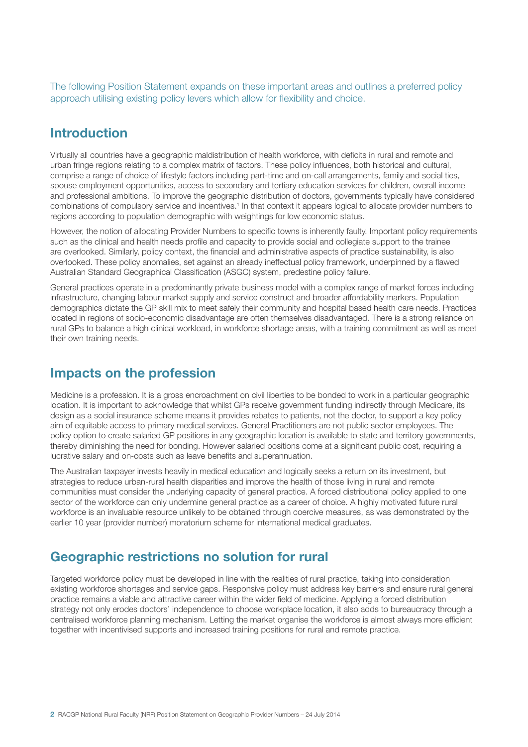The following Position Statement expands on these important areas and outlines a preferred policy approach utilising existing policy levers which allow for flexibility and choice.

## Introduction

Virtually all countries have a geographic maldistribution of health workforce, with deficits in rural and remote and urban fringe regions relating to a complex matrix of factors. These policy influences, both historical and cultural, comprise a range of choice of lifestyle factors including part-time and on-call arrangements, family and social ties, spouse employment opportunities, access to secondary and tertiary education services for children, overall income and professional ambitions. To improve the geographic distribution of doctors, governments typically have considered combinations of compulsory service and incentives.<sup>1</sup> In that context it appears logical to allocate provider numbers to regions according to population demographic with weightings for low economic status.

However, the notion of allocating Provider Numbers to specific towns is inherently faulty. Important policy requirements such as the clinical and health needs profile and capacity to provide social and collegiate support to the trainee are overlooked. Similarly, policy context, the financial and administrative aspects of practice sustainability, is also overlooked. These policy anomalies, set against an already ineffectual policy framework, underpinned by a flawed Australian Standard Geographical Classification (ASGC) system, predestine policy failure.

General practices operate in a predominantly private business model with a complex range of market forces including infrastructure, changing labour market supply and service construct and broader affordability markers. Population demographics dictate the GP skill mix to meet safely their community and hospital based health care needs. Practices located in regions of socio-economic disadvantage are often themselves disadvantaged. There is a strong reliance on rural GPs to balance a high clinical workload, in workforce shortage areas, with a training commitment as well as meet their own training needs.

### Impacts on the profession

Medicine is a profession. It is a gross encroachment on civil liberties to be bonded to work in a particular geographic location. It is important to acknowledge that whilst GPs receive government funding indirectly through Medicare, its design as a social insurance scheme means it provides rebates to patients, not the doctor, to support a key policy aim of equitable access to primary medical services. General Practitioners are not public sector employees. The policy option to create salaried GP positions in any geographic location is available to state and territory governments, thereby diminishing the need for bonding. However salaried positions come at a significant public cost, requiring a lucrative salary and on-costs such as leave benefits and superannuation.

The Australian taxpayer invests heavily in medical education and logically seeks a return on its investment, but strategies to reduce urban-rural health disparities and improve the health of those living in rural and remote communities must consider the underlying capacity of general practice. A forced distributional policy applied to one sector of the workforce can only undermine general practice as a career of choice. A highly motivated future rural workforce is an invaluable resource unlikely to be obtained through coercive measures, as was demonstrated by the earlier 10 year (provider number) moratorium scheme for international medical graduates.

## Geographic restrictions no solution for rural

Targeted workforce policy must be developed in line with the realities of rural practice, taking into consideration existing workforce shortages and service gaps. Responsive policy must address key barriers and ensure rural general practice remains a viable and attractive career within the wider field of medicine. Applying a forced distribution strategy not only erodes doctors' independence to choose workplace location, it also adds to bureaucracy through a centralised workforce planning mechanism. Letting the market organise the workforce is almost always more efficient together with incentivised supports and increased training positions for rural and remote practice.